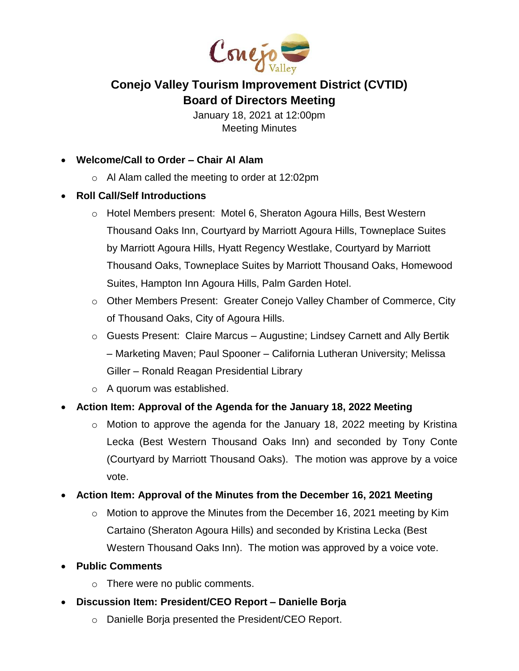

# **Conejo Valley Tourism Improvement District (CVTID) Board of Directors Meeting**

January 18, 2021 at 12:00pm Meeting Minutes

- **Welcome/Call to Order – Chair Al Alam**
	- o Al Alam called the meeting to order at 12:02pm
- **Roll Call/Self Introductions**
	- o Hotel Members present: Motel 6, Sheraton Agoura Hills, Best Western Thousand Oaks Inn, Courtyard by Marriott Agoura Hills, Towneplace Suites by Marriott Agoura Hills, Hyatt Regency Westlake, Courtyard by Marriott Thousand Oaks, Towneplace Suites by Marriott Thousand Oaks, Homewood Suites, Hampton Inn Agoura Hills, Palm Garden Hotel.
	- o Other Members Present: Greater Conejo Valley Chamber of Commerce, City of Thousand Oaks, City of Agoura Hills.
	- $\circ$  Guests Present: Claire Marcus Augustine; Lindsey Carnett and Ally Bertik – Marketing Maven; Paul Spooner – California Lutheran University; Melissa Giller – Ronald Reagan Presidential Library
	- o A quorum was established.
- **Action Item: Approval of the Agenda for the January 18, 2022 Meeting**
	- $\circ$  Motion to approve the agenda for the January 18, 2022 meeting by Kristina Lecka (Best Western Thousand Oaks Inn) and seconded by Tony Conte (Courtyard by Marriott Thousand Oaks). The motion was approve by a voice vote.
- **Action Item: Approval of the Minutes from the December 16, 2021 Meeting**
	- o Motion to approve the Minutes from the December 16, 2021 meeting by Kim Cartaino (Sheraton Agoura Hills) and seconded by Kristina Lecka (Best Western Thousand Oaks Inn). The motion was approved by a voice vote.
- **Public Comments**
	- o There were no public comments.
- **Discussion Item: President/CEO Report – Danielle Borja**
	- o Danielle Borja presented the President/CEO Report.